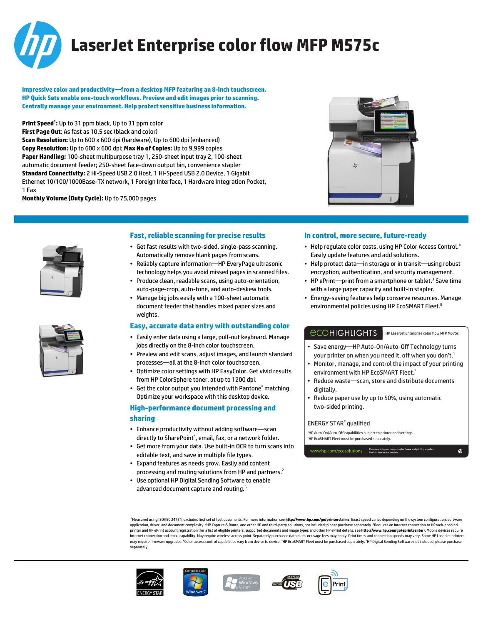

# **LaserJet Enterprise color flow MFP M575c**

**Impressive color and productivity—from a desktop MFP featuring an 8-inch touchscreen. HP Quick Sets enable one-touch workflows. Preview and edit images prior to scanning. Centrally manage your environment. Help protect sensitive business information.**

**Print Speed<sup>1</sup> :** Up to 31 ppm black, Up to 31 ppm color **First Page Out**: As fast as 10.5 sec (black and color) **Scan Resolution:** Up to 600 x 600 dpi (hardware), Up to 600 dpi (enhanced) **Copy Resolution:** Up to 600 x 600 dpi; **Max No of Copies:** Up to 9,999 copies **Paper Handling:** 100-sheet multipurpose tray 1, 250-sheet input tray 2, 100-sheet automatic document feeder; 250-sheet face-down output bin, convenience stapler **Standard Connectivity:** 2 Hi-Speed USB 2.0 Host, 1 Hi-Speed USB 2.0 Device, 1 Gigabit Ethernet 10/100/1000Base-TX network, 1 Foreign Interface, 1 Hardware Integration Pocket, 1 Fax

**Monthly Volume (Duty Cycle):** Up to 75,000 pages







#### **Fast, reliable scanning for precise results**

- Get fast results with two-sided, single-pass scanning. Automatically remove blank pages from scans.
- Reliably capture information—HP EveryPage ultrasonic technology helps you avoid missed pages in scanned files.
- Produce clean, readable scans, using auto-orientation,
- auto-page-crop, auto-tone, and auto-deskew tools. • Manage big jobs easily with a 100-sheet automatic
- document feeder that handles mixed paper sizes and weights.

#### **Easy, accurate data entry with outstanding color**

- Easily enter data using a large, pull-out keyboard. Manage jobs directly on the 8-inch color touchscreen.
- Preview and edit scans, adjust images, and launch standard processes—all at the 8-inch color touchscreen.
- Optimize color settings with HP EasyColor. Get vivid results from HP ColorSphere toner, at up to 1200 dpi.
- Get the color output you intended with Pantone® matching. Optimize your workspace with this desktop device.

### **High-performance document processing and sharing**

- Enhance productivity without adding software—scan directly to SharePoint® , email, fax, or a network folder.
- Get more from your data. Use built-in OCR to turn scans into editable text, and save in multiple file types.
- Expand features as needs grow. Easily add content processing and routing solutions from HP and partners.<sup>2</sup>
- Use optional HP Digital Sending Software to enable advanced document capture and routing.<sup>6</sup>

#### **In control, more secure, future-ready**

- Help regulate color costs, using HP Color Access Control.<sup>4</sup> Easily update features and add solutions.
- Help protect data—in storage or in transit—using robust encryption, authentication, and security management.
- HP ePrint-print from a smartphone or tablet.<sup>3</sup> Save time with a large paper capacity and built-in stapler.
- Energy-saving features help conserve resources. Manage environmental policies using HP EcoSMART Fleet.<sup>5</sup>

### *<u>ECOHIGHLIGHTS</u>*

HP LaserJet Enterprise color flow MFP M575c

 $\mathbf{m}$ 

- Save energy—HP Auto-On/Auto-Off Technology turns your printer on when you need it, off when you don't.<sup>1</sup>
- Monitor, manage, and control the impact of your printing environment with HP EcoSMART Fleet.<sup>2</sup>
- Reduce waste—scan, store and distribute documents digitally.
- Reduce paper use by up to 50%, using automatic two-sided printing.

#### ENERGY STAR® qualified

<sup>1</sup>HP Auto-On/Auto-Off capabilities subject to printer and settings. <sup>2</sup>HP EcoSMART Fleet must be purchased separately.

www.hp.com/ecosolutions Please recycle your computing hardware and printing supplies. Find out how at our website.

<sup>1</sup>Measured using ISO/IEC 24734, excludes first set of test documents. For more information see **http://www.hp.com/go/printerclaims**. Exact speed varies depending on the system configuration, software<br>application, driver, er, and document complexity. <sup>2</sup>HP Capture & Route, and other HP and third-party solutions, not included; please purchase separately. <sup>3</sup>Requires an Internet connection to HP web-enabled printer and HP ePrint account registration (for a list of eligible printers, supported documents and image types and other HP ePrint details, see **http://www.hp.com/go/eprintcenter**). Mobile devices require Internet connection and email capability. May require wireless access point. Separately purchased data plans or usage fees may apply. Print times and connection speeds may vary. Some HP LaserJet printers may require firmware upgrades. <sup>4</sup>Color access control capabilities vary from device to device. <sup>5</sup>HP EcoSMART Fleet must be purchased separately. <sup>6</sup>HP Digital Sending Software not included; please purchase separately.